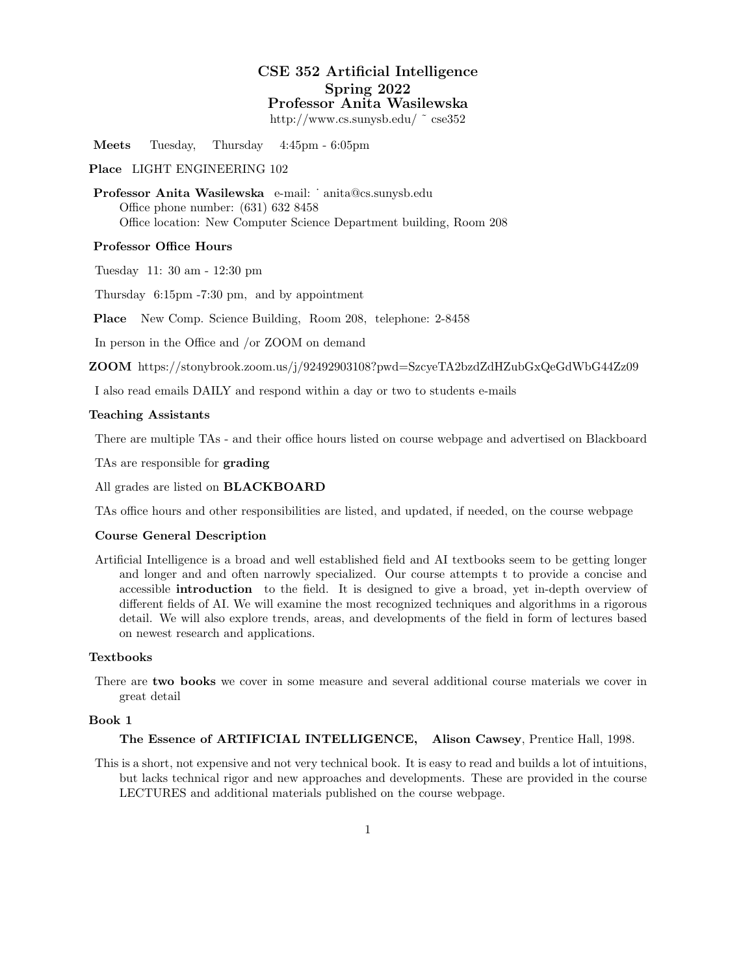# CSE 352 Artificial Intelligence Spring 2022 Professor Anita Wasilewska

http://www.cs.sunysb.edu/ ˜ cse352

Meets Tuesday, Thursday 4:45pm - 6:05pm

## Place LIGHT ENGINEERING 102

Professor Anita Wasilewska e-mail: ˙ anita@cs.sunysb.edu Office phone number: (631) 632 8458 Office location: New Computer Science Department building, Room 208

#### Professor Office Hours

Tuesday 11: 30 am - 12:30 pm

Thursday 6:15pm -7:30 pm, and by appointment

Place New Comp. Science Building, Room 208, telephone: 2-8458

In person in the Office and /or ZOOM on demand

ZOOM https://stonybrook.zoom.us/j/92492903108?pwd=SzcyeTA2bzdZdHZubGxQeGdWbG44Zz09

I also read emails DAILY and respond within a day or two to students e-mails

### Teaching Assistants

There are multiple TAs - and their office hours listed on course webpage and advertised on Blackboard

TAs are responsible for grading

All grades are listed on BLACKBOARD

TAs office hours and other responsibilities are listed, and updated, if needed, on the course webpage

### Course General Description

Artificial Intelligence is a broad and well established field and AI textbooks seem to be getting longer and longer and and often narrowly specialized. Our course attempts t to provide a concise and accessible introduction to the field. It is designed to give a broad, yet in-depth overview of different fields of AI. We will examine the most recognized techniques and algorithms in a rigorous detail. We will also explore trends, areas, and developments of the field in form of lectures based on newest research and applications.

# Textbooks

There are two books we cover in some measure and several additional course materials we cover in great detail

### Book 1

The Essence of ARTIFICIAL INTELLIGENCE, Alison Cawsey, Prentice Hall, 1998.

This is a short, not expensive and not very technical book. It is easy to read and builds a lot of intuitions, but lacks technical rigor and new approaches and developments. These are provided in the course LECTURES and additional materials published on the course webpage.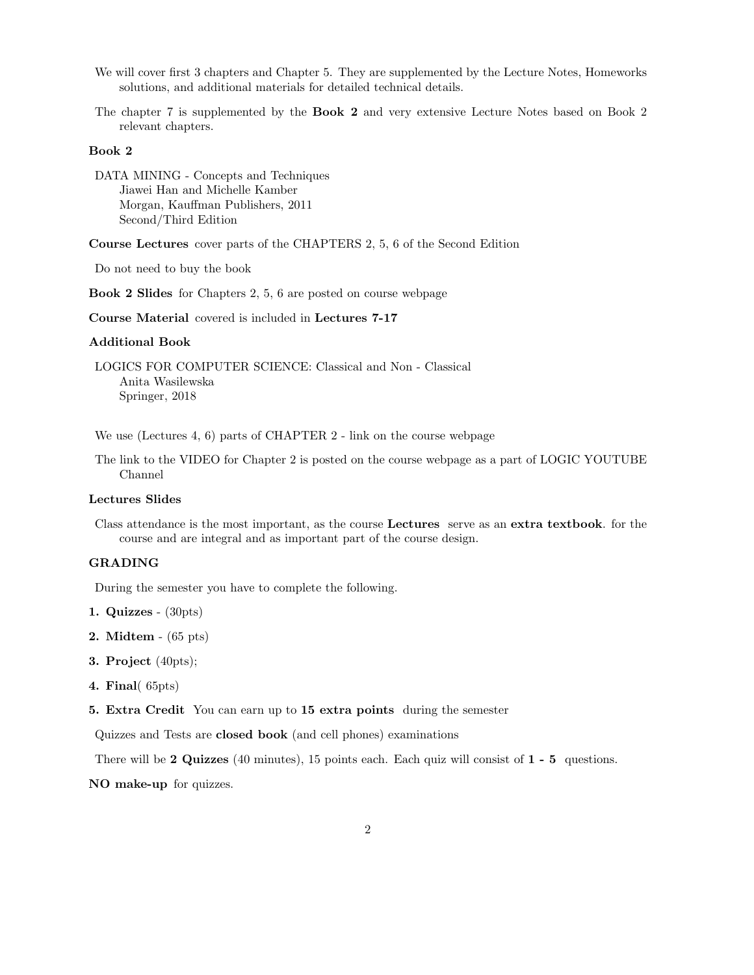- We will cover first 3 chapters and Chapter 5. They are supplemented by the Lecture Notes, Homeworks solutions, and additional materials for detailed technical details.
- The chapter 7 is supplemented by the Book 2 and very extensive Lecture Notes based on Book 2 relevant chapters.

# Book 2

DATA MINING - Concepts and Techniques Jiawei Han and Michelle Kamber Morgan, Kauffman Publishers, 2011 Second/Third Edition

Course Lectures cover parts of the CHAPTERS 2, 5, 6 of the Second Edition

Do not need to buy the book

Book 2 Slides for Chapters 2, 5, 6 are posted on course webpage

Course Material covered is included in Lectures 7-17

## Additional Book

LOGICS FOR COMPUTER SCIENCE: Classical and Non - Classical Anita Wasilewska Springer, 2018

We use (Lectures 4, 6) parts of CHAPTER 2 - link on the course webpage

The link to the VIDEO for Chapter 2 is posted on the course webpage as a part of LOGIC YOUTUBE Channel

## Lectures Slides

Class attendance is the most important, as the course Lectures serve as an extra textbook. for the course and are integral and as important part of the course design.

# GRADING

During the semester you have to complete the following.

- 1. Quizzes (30pts)
- 2. Midtem (65 pts)
- 3. Project (40pts);
- 4. Final( 65pts)
- 5. Extra Credit You can earn up to 15 extra points during the semester

Quizzes and Tests are closed book (and cell phones) examinations

There will be 2 Quizzes (40 minutes), 15 points each. Each quiz will consist of 1 - 5 questions.

NO make-up for quizzes.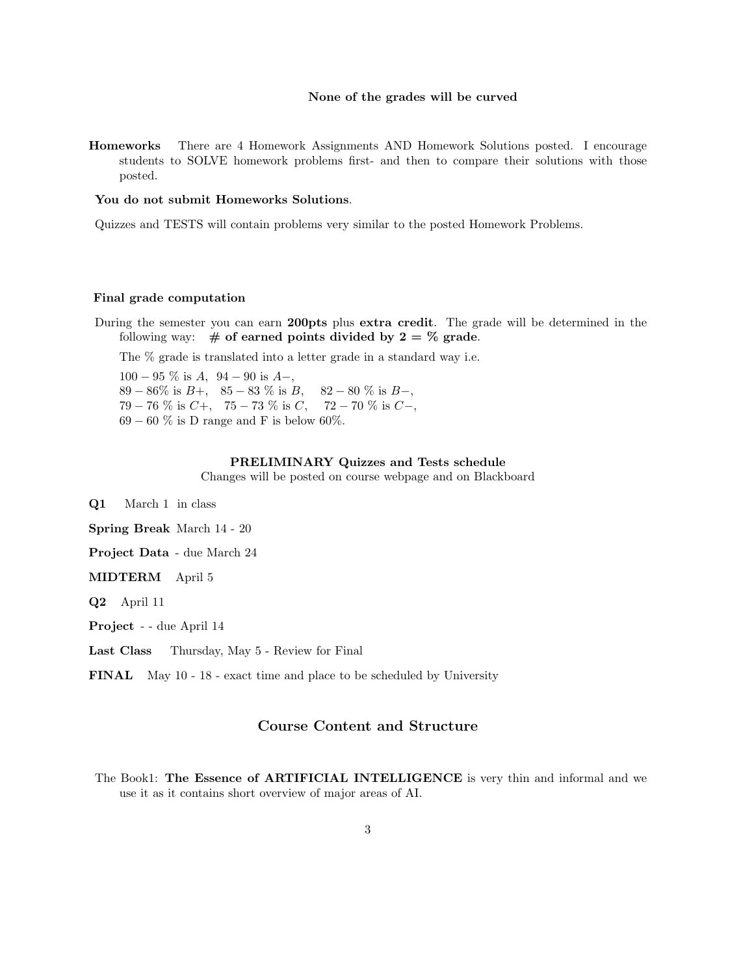#### None of the grades will be curved

Homeworks There are 4 Homework Assignments AND Homework Solutions posted. I encourage students to SOLVE homework problems first- and then to compare their solutions with those posted.

#### You do not submit Homeworks Solutions.

Quizzes and TESTS will contain problems very similar to the posted Homework Problems.

## Final grade computation

During the semester you can earn 200pts plus extra credit. The grade will be determined in the following way:  $\#$  of earned points divided by  $2 = \%$  grade.

The % grade is translated into a letter grade in a standard way i.e.

 $100 - 95\%$  is  $A$ ,  $94 - 90$  is  $A$ –, 89 − 86% is  $B_+$ , 85 − 83 % is  $B_+$ , 82 − 80 % is  $B_-$ ,  $79 - 76$  % is  $C_+$ ,  $75 - 73$  % is  $C$ ,  $72 - 70$  % is  $C_-,$  $69-60\%$  is D range and F is below 60%.

#### PRELIMINARY Quizzes and Tests schedule

Changes will be posted on course webpage and on Blackboard

Q1 March 1 in class

Spring Break March 14 - 20

Project Data - due March 24

MIDTERM April 5

Q2 April 11

Project - - due April 14

Last Class Thursday, May 5 - Review for Final

FINAL May 10 - 18 - exact time and place to be scheduled by University

# Course Content and Structure

The Book1: The Essence of ARTIFICIAL INTELLIGENCE is very thin and informal and we use it as it contains short overview of major areas of AI.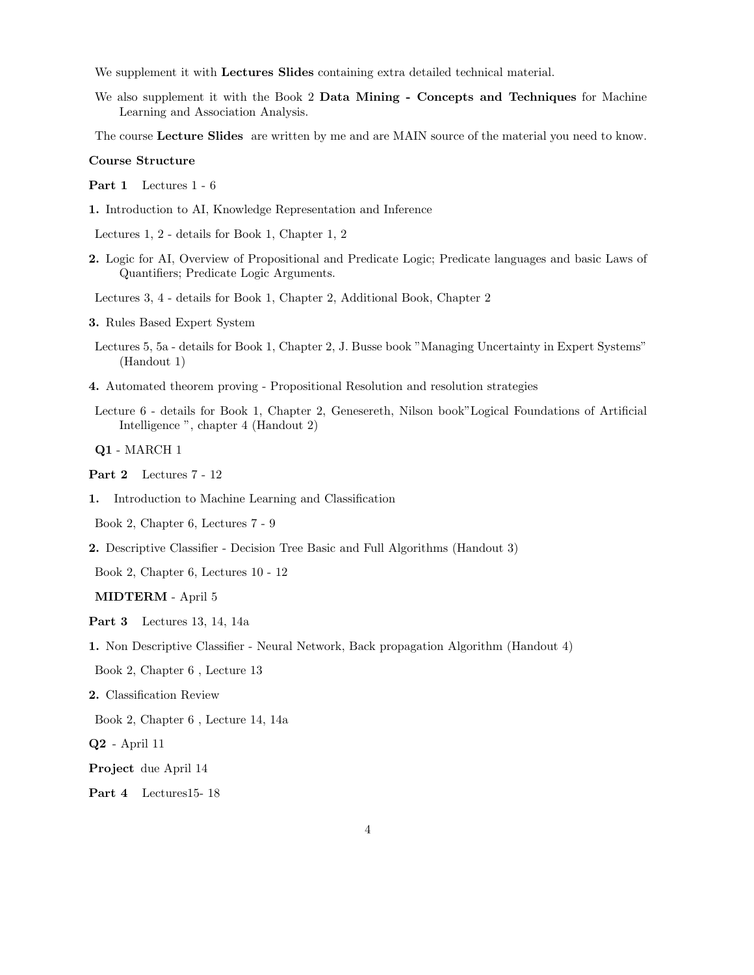We supplement it with Lectures Slides containing extra detailed technical material.

We also supplement it with the Book 2 Data Mining - Concepts and Techniques for Machine Learning and Association Analysis.

The course Lecture Slides are written by me and are MAIN source of the material you need to know.

#### Course Structure

Part 1 Lectures 1 - 6

1. Introduction to AI, Knowledge Representation and Inference

Lectures 1, 2 - details for Book 1, Chapter 1, 2

2. Logic for AI, Overview of Propositional and Predicate Logic; Predicate languages and basic Laws of Quantifiers; Predicate Logic Arguments.

Lectures 3, 4 - details for Book 1, Chapter 2, Additional Book, Chapter 2

- 3. Rules Based Expert System
- Lectures 5, 5a details for Book 1, Chapter 2, J. Busse book "Managing Uncertainty in Expert Systems" (Handout 1)
- 4. Automated theorem proving Propositional Resolution and resolution strategies
- Lecture 6 details for Book 1, Chapter 2, Genesereth, Nilson book"Logical Foundations of Artificial Intelligence ", chapter 4 (Handout 2)

Q1 - MARCH 1

- Part 2 Lectures 7 12
- 1. Introduction to Machine Learning and Classification

Book 2, Chapter 6, Lectures 7 - 9

2. Descriptive Classifier - Decision Tree Basic and Full Algorithms (Handout 3)

Book 2, Chapter 6, Lectures 10 - 12

MIDTERM - April 5

Part 3 Lectures 13, 14, 14a

1. Non Descriptive Classifier - Neural Network, Back propagation Algorithm (Handout 4)

Book 2, Chapter 6 , Lecture 13

2. Classification Review

Book 2, Chapter 6 , Lecture 14, 14a

Q2 - April 11

Project due April 14

Part 4 Lectures15-18